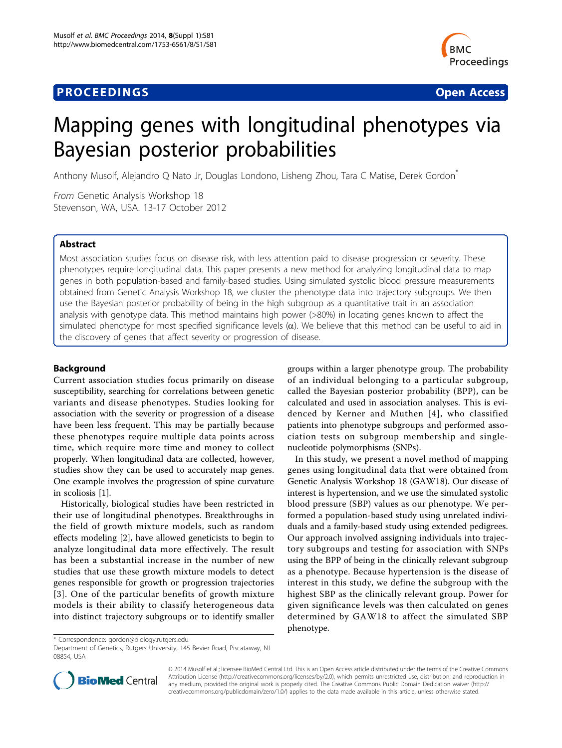## **PROCEEDINGS CONSIDERING S** Open Access **CONSIDERING S**



# Mapping genes with longitudinal phenotypes via Bayesian posterior probabilities

Anthony Musolf, Alejandro Q Nato Jr, Douglas Londono, Lisheng Zhou, Tara C Matise, Derek Gordon\*

From Genetic Analysis Workshop 18 Stevenson, WA, USA. 13-17 October 2012

## Abstract

Most association studies focus on disease risk, with less attention paid to disease progression or severity. These phenotypes require longitudinal data. This paper presents a new method for analyzing longitudinal data to map genes in both population-based and family-based studies. Using simulated systolic blood pressure measurements obtained from Genetic Analysis Workshop 18, we cluster the phenotype data into trajectory subgroups. We then use the Bayesian posterior probability of being in the high subgroup as a quantitative trait in an association analysis with genotype data. This method maintains high power (>80%) in locating genes known to affect the simulated phenotype for most specified significance levels  $(\alpha)$ . We believe that this method can be useful to aid in the discovery of genes that affect severity or progression of disease.

## Background

Current association studies focus primarily on disease susceptibility, searching for correlations between genetic variants and disease phenotypes. Studies looking for association with the severity or progression of a disease have been less frequent. This may be partially because these phenotypes require multiple data points across time, which require more time and money to collect properly. When longitudinal data are collected, however, studies show they can be used to accurately map genes. One example involves the progression of spine curvature in scoliosis [[1\]](#page-4-0).

Historically, biological studies have been restricted in their use of longitudinal phenotypes. Breakthroughs in the field of growth mixture models, such as random effects modeling [\[2](#page-4-0)], have allowed geneticists to begin to analyze longitudinal data more effectively. The result has been a substantial increase in the number of new studies that use these growth mixture models to detect genes responsible for growth or progression trajectories [[3](#page-4-0)]. One of the particular benefits of growth mixture models is their ability to classify heterogeneous data into distinct trajectory subgroups or to identify smaller groups within a larger phenotype group. The probability of an individual belonging to a particular subgroup, called the Bayesian posterior probability (BPP), can be calculated and used in association analyses. This is evidenced by Kerner and Muthen [[4](#page-4-0)], who classified patients into phenotype subgroups and performed association tests on subgroup membership and singlenucleotide polymorphisms (SNPs).

In this study, we present a novel method of mapping genes using longitudinal data that were obtained from Genetic Analysis Workshop 18 (GAW18). Our disease of interest is hypertension, and we use the simulated systolic blood pressure (SBP) values as our phenotype. We performed a population-based study using unrelated individuals and a family-based study using extended pedigrees. Our approach involved assigning individuals into trajectory subgroups and testing for association with SNPs using the BPP of being in the clinically relevant subgroup as a phenotype. Because hypertension is the disease of interest in this study, we define the subgroup with the highest SBP as the clinically relevant group. Power for given significance levels was then calculated on genes determined by GAW18 to affect the simulated SBP phenotype.

Department of Genetics, Rutgers University, 145 Bevier Road, Piscataway, NJ 08854, USA



© 2014 Musolf et al.; licensee BioMed Central Ltd. This is an Open Access article distributed under the terms of the Creative Commons Attribution License [\(http://creativecommons.org/licenses/by/2.0](http://creativecommons.org/licenses/by/2.0)), which permits unrestricted use, distribution, and reproduction in any medium, provided the original work is properly cited. The Creative Commons Public Domain Dedication waiver [\(http://](http://creativecommons.org/publicdomain/zero/1.0/) [creativecommons.org/publicdomain/zero/1.0/](http://creativecommons.org/publicdomain/zero/1.0/)) applies to the data made available in this article, unless otherwise stated.

<sup>\*</sup> Correspondence: [gordon@biology.rutgers.edu](mailto:gordon@biology.rutgers.edu)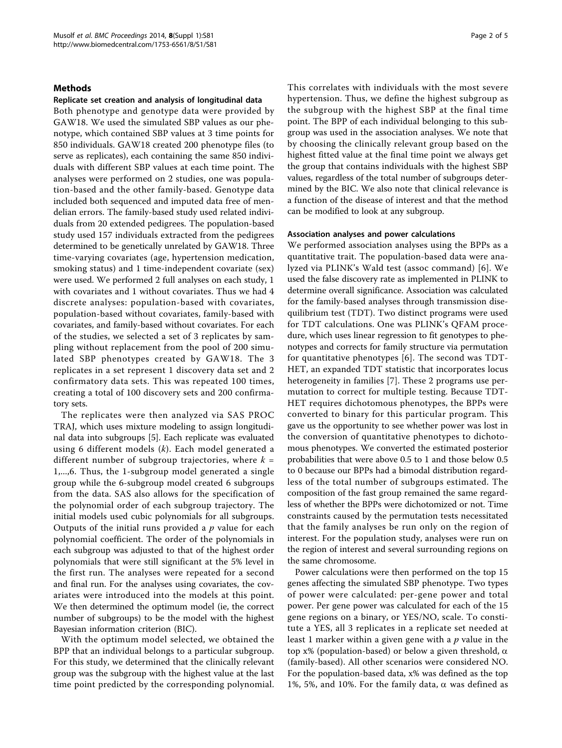#### Methods

#### Replicate set creation and analysis of longitudinal data

Both phenotype and genotype data were provided by GAW18. We used the simulated SBP values as our phenotype, which contained SBP values at 3 time points for 850 individuals. GAW18 created 200 phenotype files (to serve as replicates), each containing the same 850 individuals with different SBP values at each time point. The analyses were performed on 2 studies, one was population-based and the other family-based. Genotype data included both sequenced and imputed data free of mendelian errors. The family-based study used related individuals from 20 extended pedigrees. The population-based study used 157 individuals extracted from the pedigrees determined to be genetically unrelated by GAW18. Three time-varying covariates (age, hypertension medication, smoking status) and 1 time-independent covariate (sex) were used. We performed 2 full analyses on each study, 1 with covariates and 1 without covariates. Thus we had 4 discrete analyses: population-based with covariates, population-based without covariates, family-based with covariates, and family-based without covariates. For each of the studies, we selected a set of 3 replicates by sampling without replacement from the pool of 200 simulated SBP phenotypes created by GAW18. The 3 replicates in a set represent 1 discovery data set and 2 confirmatory data sets. This was repeated 100 times, creating a total of 100 discovery sets and 200 confirmatory sets.

The replicates were then analyzed via SAS PROC TRAJ, which uses mixture modeling to assign longitudinal data into subgroups [\[5](#page-4-0)]. Each replicate was evaluated using 6 different models (k). Each model generated a different number of subgroup trajectories, where  $k =$ 1,...,6. Thus, the 1-subgroup model generated a single group while the 6-subgroup model created 6 subgroups from the data. SAS also allows for the specification of the polynomial order of each subgroup trajectory. The initial models used cubic polynomials for all subgroups. Outputs of the initial runs provided a  $p$  value for each polynomial coefficient. The order of the polynomials in each subgroup was adjusted to that of the highest order polynomials that were still significant at the 5% level in the first run. The analyses were repeated for a second and final run. For the analyses using covariates, the covariates were introduced into the models at this point. We then determined the optimum model (ie, the correct number of subgroups) to be the model with the highest Bayesian information criterion (BIC).

With the optimum model selected, we obtained the BPP that an individual belongs to a particular subgroup. For this study, we determined that the clinically relevant group was the subgroup with the highest value at the last time point predicted by the corresponding polynomial. This correlates with individuals with the most severe hypertension. Thus, we define the highest subgroup as the subgroup with the highest SBP at the final time point. The BPP of each individual belonging to this subgroup was used in the association analyses. We note that by choosing the clinically relevant group based on the highest fitted value at the final time point we always get the group that contains individuals with the highest SBP values, regardless of the total number of subgroups determined by the BIC. We also note that clinical relevance is a function of the disease of interest and that the method can be modified to look at any subgroup.

#### Association analyses and power calculations

We performed association analyses using the BPPs as a quantitative trait. The population-based data were analyzed via PLINK's Wald test (assoc command) [[6](#page-4-0)]. We used the false discovery rate as implemented in PLINK to determine overall significance. Association was calculated for the family-based analyses through transmission disequilibrium test (TDT). Two distinct programs were used for TDT calculations. One was PLINK's QFAM procedure, which uses linear regression to fit genotypes to phenotypes and corrects for family structure via permutation for quantitative phenotypes [[6](#page-4-0)]. The second was TDT-HET, an expanded TDT statistic that incorporates locus heterogeneity in families [\[7](#page-4-0)]. These 2 programs use permutation to correct for multiple testing. Because TDT-HET requires dichotomous phenotypes, the BPPs were converted to binary for this particular program. This gave us the opportunity to see whether power was lost in the conversion of quantitative phenotypes to dichotomous phenotypes. We converted the estimated posterior probabilities that were above 0.5 to 1 and those below 0.5 to 0 because our BPPs had a bimodal distribution regardless of the total number of subgroups estimated. The composition of the fast group remained the same regardless of whether the BPPs were dichotomized or not. Time constraints caused by the permutation tests necessitated that the family analyses be run only on the region of interest. For the population study, analyses were run on the region of interest and several surrounding regions on the same chromosome.

Power calculations were then performed on the top 15 genes affecting the simulated SBP phenotype. Two types of power were calculated: per-gene power and total power. Per gene power was calculated for each of the 15 gene regions on a binary, or YES/NO, scale. To constitute a YES, all 3 replicates in a replicate set needed at least 1 marker within a given gene with a  $p$  value in the top x% (population-based) or below a given threshold,  $\alpha$ (family-based). All other scenarios were considered NO. For the population-based data, x% was defined as the top 1%, 5%, and 10%. For the family data,  $\alpha$  was defined as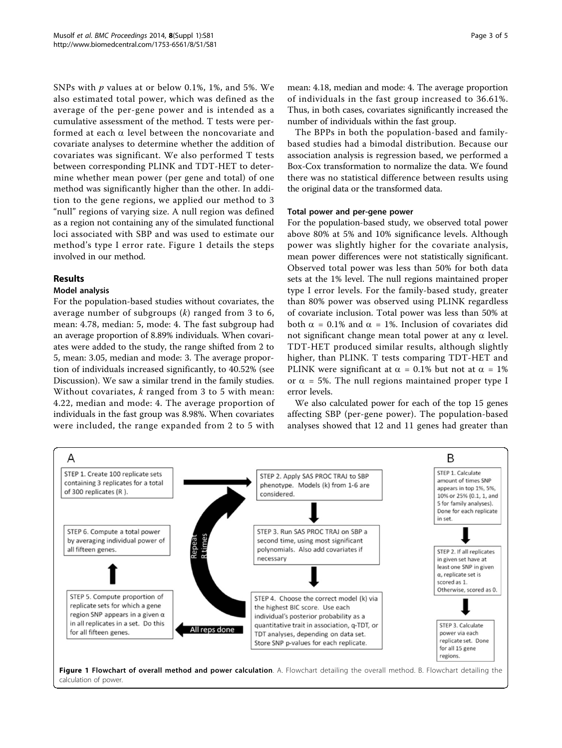SNPs with  $p$  values at or below 0.1%, 1%, and 5%. We also estimated total power, which was defined as the average of the per-gene power and is intended as a cumulative assessment of the method. T tests were performed at each  $\alpha$  level between the noncovariate and covariate analyses to determine whether the addition of covariates was significant. We also performed T tests between corresponding PLINK and TDT-HET to determine whether mean power (per gene and total) of one method was significantly higher than the other. In addition to the gene regions, we applied our method to 3 "null" regions of varying size. A null region was defined as a region not containing any of the simulated functional loci associated with SBP and was used to estimate our method's type I error rate. Figure 1 details the steps involved in our method.

## Results

## Model analysis

For the population-based studies without covariates, the average number of subgroups  $(k)$  ranged from 3 to 6, mean: 4.78, median: 5, mode: 4. The fast subgroup had an average proportion of 8.89% individuals. When covariates were added to the study, the range shifted from 2 to 5, mean: 3.05, median and mode: 3. The average proportion of individuals increased significantly, to 40.52% (see Discussion). We saw a similar trend in the family studies. Without covariates,  $k$  ranged from 3 to 5 with mean: 4.22, median and mode: 4. The average proportion of individuals in the fast group was 8.98%. When covariates were included, the range expanded from 2 to 5 with

mean: 4.18, median and mode: 4. The average proportion of individuals in the fast group increased to 36.61%. Thus, in both cases, covariates significantly increased the number of individuals within the fast group.

The BPPs in both the population-based and familybased studies had a bimodal distribution. Because our association analysis is regression based, we performed a Box-Cox transformation to normalize the data. We found there was no statistical difference between results using the original data or the transformed data.

## Total power and per-gene power

For the population-based study, we observed total power above 80% at 5% and 10% significance levels. Although power was slightly higher for the covariate analysis, mean power differences were not statistically significant. Observed total power was less than 50% for both data sets at the 1% level. The null regions maintained proper type I error levels. For the family-based study, greater than 80% power was observed using PLINK regardless of covariate inclusion. Total power was less than 50% at both  $\alpha$  = 0.1% and  $\alpha$  = 1%. Inclusion of covariates did not significant change mean total power at any  $\alpha$  level. TDT-HET produced similar results, although slightly higher, than PLINK. T tests comparing TDT-HET and PLINK were significant at  $\alpha = 0.1\%$  but not at  $\alpha = 1\%$ or  $\alpha$  = 5%. The null regions maintained proper type I error levels.

We also calculated power for each of the top 15 genes affecting SBP (per-gene power). The population-based analyses showed that 12 and 11 genes had greater than

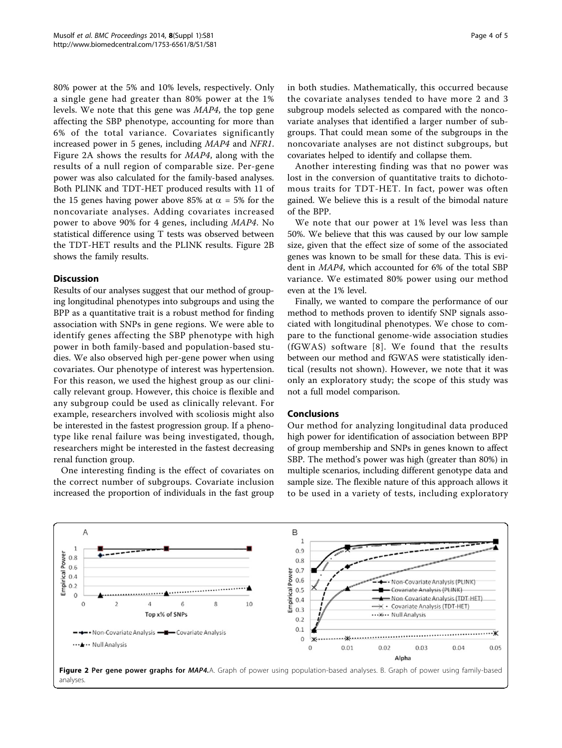80% power at the 5% and 10% levels, respectively. Only a single gene had greater than 80% power at the 1% levels. We note that this gene was MAP4, the top gene affecting the SBP phenotype, accounting for more than 6% of the total variance. Covariates significantly increased power in 5 genes, including MAP4 and NFR1. Figure 2A shows the results for MAP4, along with the results of a null region of comparable size. Per-gene power was also calculated for the family-based analyses. Both PLINK and TDT-HET produced results with 11 of the 15 genes having power above 85% at  $\alpha$  = 5% for the noncovariate analyses. Adding covariates increased power to above 90% for 4 genes, including MAP4. No statistical difference using T tests was observed between the TDT-HET results and the PLINK results. Figure 2B shows the family results.

## Discussion

Results of our analyses suggest that our method of grouping longitudinal phenotypes into subgroups and using the BPP as a quantitative trait is a robust method for finding association with SNPs in gene regions. We were able to identify genes affecting the SBP phenotype with high power in both family-based and population-based studies. We also observed high per-gene power when using covariates. Our phenotype of interest was hypertension. For this reason, we used the highest group as our clinically relevant group. However, this choice is flexible and any subgroup could be used as clinically relevant. For example, researchers involved with scoliosis might also be interested in the fastest progression group. If a phenotype like renal failure was being investigated, though, researchers might be interested in the fastest decreasing renal function group.

One interesting finding is the effect of covariates on the correct number of subgroups. Covariate inclusion increased the proportion of individuals in the fast group in both studies. Mathematically, this occurred because the covariate analyses tended to have more 2 and 3 subgroup models selected as compared with the noncovariate analyses that identified a larger number of subgroups. That could mean some of the subgroups in the noncovariate analyses are not distinct subgroups, but covariates helped to identify and collapse them.

Another interesting finding was that no power was lost in the conversion of quantitative traits to dichotomous traits for TDT-HET. In fact, power was often gained. We believe this is a result of the bimodal nature of the BPP.

We note that our power at 1% level was less than 50%. We believe that this was caused by our low sample size, given that the effect size of some of the associated genes was known to be small for these data. This is evident in MAP4, which accounted for 6% of the total SBP variance. We estimated 80% power using our method even at the 1% level.

Finally, we wanted to compare the performance of our method to methods proven to identify SNP signals associated with longitudinal phenotypes. We chose to compare to the functional genome-wide association studies (fGWAS) software [[8\]](#page-4-0). We found that the results between our method and fGWAS were statistically identical (results not shown). However, we note that it was only an exploratory study; the scope of this study was not a full model comparison.

#### Conclusions

Our method for analyzing longitudinal data produced high power for identification of association between BPP of group membership and SNPs in genes known to affect SBP. The method's power was high (greater than 80%) in multiple scenarios, including different genotype data and sample size. The flexible nature of this approach allows it to be used in a variety of tests, including exploratory